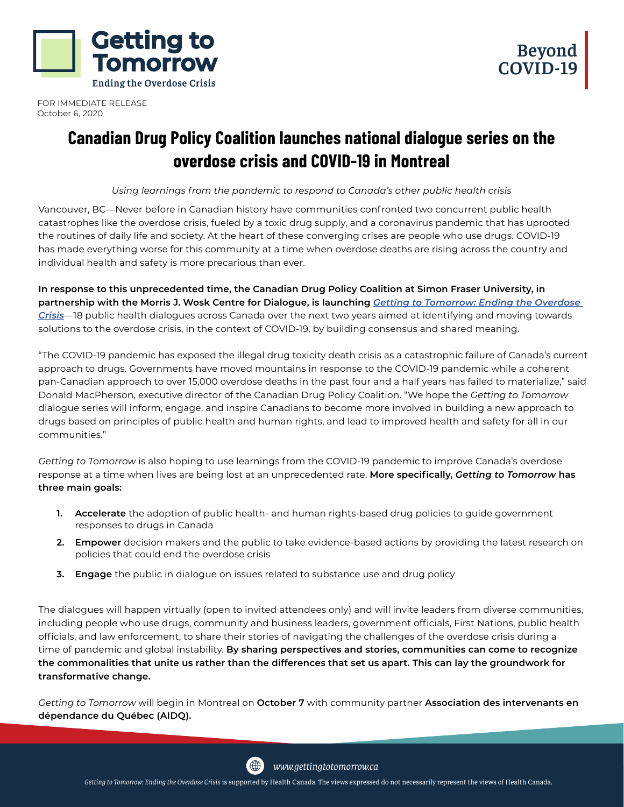



FOR IMMEDIATE RELEASE October 6, 2020

# **Canadian Drug Policy Coalition launches national dialogue series on the overdose crisis and COVID-19 in Montreal**

*Using learnings from the pandemic to respond to Canada's other public health crisis*

Vancouver, BC—Never before in Canadian history have communities confronted two concurrent public health catastrophes like the overdose crisis, fueled by a toxic drug supply, and a coronavirus pandemic that has uprooted the routines of daily life and society. At the heart of these converging crises are people who use drugs. COVID-19 has made everything worse for this community at a time when overdose deaths are rising across the country and individual health and safety is more precarious than ever.

**In response to this unprecedented time, the Canadian Drug Policy Coalition at Simon Fraser University, in partnership with the Morris J. Wosk Centre for Dialogue, is launching** *[Getting to Tomorrow: Ending the Overdose](https://gettingtotomorrow.ca)  [Crisis](https://gettingtotomorrow.ca)*—18 public health dialogues across Canada over the next two years aimed at identifying and moving towards solutions to the overdose crisis, in the context of COVID-19, by building consensus and shared meaning.

"The COVID-19 pandemic has exposed the illegal drug toxicity death crisis as a catastrophic failure of Canada's current approach to drugs. Governments have moved mountains in response to the COVID-19 pandemic while a coherent pan-Canadian approach to over 15,000 overdose deaths in the past four and a half years has failed to materialize," said Donald MacPherson, executive director of the Canadian Drug Policy Coalition. "We hope the *Getting to Tomorrow* dialogue series will inform, engage, and inspire Canadians to become more involved in building a new approach to drugs based on principles of public health and human rights, and lead to improved health and safety for all in our communities."

*Getting to Tomorrow* is also hoping to use learnings from the COVID-19 pandemic to improve Canada's overdose response at a time when lives are being lost at an unprecedented rate. **More specifically,** *Getting to Tomorrow* **has three main goals:**

- **1. Accelerate** the adoption of public health- and human rights-based drug policies to guide government responses to drugs in Canada
- **2. Empower** decision makers and the public to take evidence-based actions by providing the latest research on policies that could end the overdose crisis
- **3. Engage** the public in dialogue on issues related to substance use and drug policy

The dialogues will happen virtually (open to invited attendees only) and will invite leaders from diverse communities, including people who use drugs, community and business leaders, government officials, First Nations, public health officials, and law enforcement, to share their stories of navigating the challenges of the overdose crisis during a time of pandemic and global instability. **By sharing perspectives and stories, communities can come to recognize the commonalities that unite us rather than the differences that set us apart. This can lay the groundwork for transformative change.**

*Getting to Tomorrow* will begin in Montreal on **October 7** with community partner **Association des intervenants en dépendance du Québec (AIDQ).**